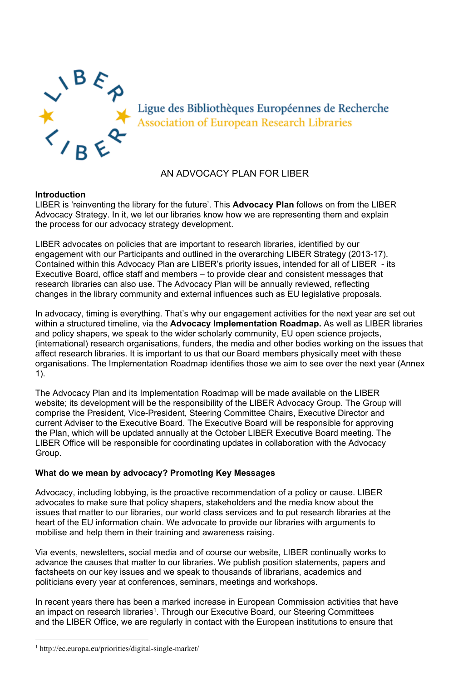

Ligue des Bibliothèques Européennes de Recherche **Association of European Research Libraries** 

# AN ADVOCACY PLAN FOR LIBER

## **Introduction**

LIBER is 'reinventing the library for the future'. This **Advocacy Plan** follows on from the LIBER Advocacy Strategy. In it, we let our libraries know how we are representing them and explain the process for our advocacy strategy development.

LIBER advocates on policies that are important to research libraries, identified by our engagement with our Participants and outlined in the overarching LIBER Strategy (2013-17). Contained within this Advocacy Plan are LIBER's priority issues, intended for all of LIBER - its Executive Board, office staff and members – to provide clear and consistent messages that research libraries can also use. The Advocacy Plan will be annually reviewed, reflecting changes in the library community and external influences such as EU legislative proposals.

In advocacy, timing is everything. That's why our engagement activities for the next year are set out within a structured timeline, via the **Advocacy Implementation Roadmap.** As well as LIBER libraries and policy shapers, we speak to the wider scholarly community, EU open science projects, (international) research organisations, funders, the media and other bodies working on the issues that affect research libraries. It is important to us that our Board members physically meet with these organisations. The Implementation Roadmap identifies those we aim to see over the next year (Annex 1).

The Advocacy Plan and its Implementation Roadmap will be made available on the LIBER website; its development will be the responsibility of the LIBER Advocacy Group. The Group will comprise the President, Vice-President, Steering Committee Chairs, Executive Director and current Adviser to the Executive Board. The Executive Board will be responsible for approving the Plan, which will be updated annually at the October LIBER Executive Board meeting. The LIBER Office will be responsible for coordinating updates in collaboration with the Advocacy Group.

## **What do we mean by advocacy? Promoting Key Messages**

Advocacy, including lobbying, is the proactive recommendation of a policy or cause. LIBER advocates to make sure that policy shapers, stakeholders and the media know about the issues that matter to our libraries, our world class services and to put research libraries at the heart of the EU information chain. We advocate to provide our libraries with arguments to mobilise and help them in their training and awareness raising.

Via events, newsletters, social media and of course our website, LIBER continually works to advance the causes that matter to our libraries. We publish position statements, papers and factsheets on our key issues and we speak to thousands of librarians, academics and politicians every year at conferences, seminars, meetings and workshops.

In recent years there has been a marked increase in European Commission activities that have an impact on research libraries<sup>1</sup>. Through [our Executive Board,](http://libereurope.eu/board-finance-committee) our Steering Committees and [the LIBER Office,](http://libereurope.eu/contact-us/liber-office/) we are regularly in contact with the European institutions to ensure that

<sup>1</sup> http://ec.europa.eu/priorities/digital-single-market/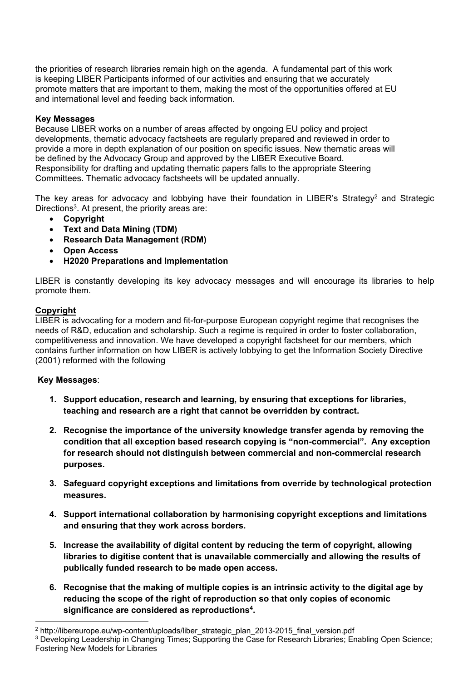the priorities of research libraries remain high on the agenda. A fundamental part of this work is keeping LIBER Participants informed of our activities and ensuring that we accurately promote matters that are important to them, making the most of the opportunities offered at EU and international level and feeding back information.

## **Key Messages**

Because LIBER works on a number of areas affected by ongoing EU policy and project developments, thematic advocacy factsheets are regularly prepared and reviewed in order to provide a more in depth explanation of our position on specific issues. New thematic areas will be defined by the Advocacy Group and approved by the LIBER Executive Board. Responsibility for drafting and updating thematic papers falls to the appropriate Steering Committees. Thematic advocacy factsheets will be updated annually.

The key areas for advocacy and lobbying have their foundation in LIBER's Strategy<sup>2</sup> and Strategic Directions<sup>3</sup>. At present, the priority areas are:

- **Copyright**
- **Text and Data Mining (TDM)**
- **Research Data Management (RDM)**
- **Open Access**
- **H2020 Preparations and Implementation**

LIBER is constantly developing its key advocacy messages and will encourage its libraries to help promote them.

## **Copyright**

LIBER is advocating for a modern and fit-for-purpose European copyright regime that recognises the needs of R&D, education and scholarship. Such a regime is required in order to foster collaboration, competitiveness and innovation. We have developed a copyright factsheet for our members, which contains further information on how LIBER is actively lobbying to get the Information Society Directive (2001) reformed with the following

## **Key Messages**:

- **1. Support education, research and learning, by ensuring that exceptions for libraries, teaching and research are a right that cannot be overridden by contract.**
- **2. Recognise the importance of the university knowledge transfer agenda by removing the condition that all exception based research copying is "non-commercial". Any exception for research should not distinguish between commercial and non-commercial research purposes.**
- **3. Safeguard copyright exceptions and limitations from override by technological protection measures.**
- **4. Support international collaboration by harmonising copyright exceptions and limitations and ensuring that they work across borders.**
- **5. Increase the availability of digital content by reducing the term of copyright, allowing libraries to digitise content that is unavailable commercially and allowing the results of publically funded research to be made open access.**
- **6. Recognise that the making of multiple copies is an intrinsic activity to the digital age by reducing the scope of the right of reproduction so that only copies of economic significance are considered as reproductions4 .**

<sup>&</sup>lt;sup>2</sup> http://libereurope.eu/wp-content/uploads/liber\_strategic\_plan\_2013-2015\_final\_version.pdf

<sup>&</sup>lt;sup>3</sup> Developing Leadership in Changing Times; Supporting the Case for Research Libraries; Enabling Open Science; Fostering New Models for Libraries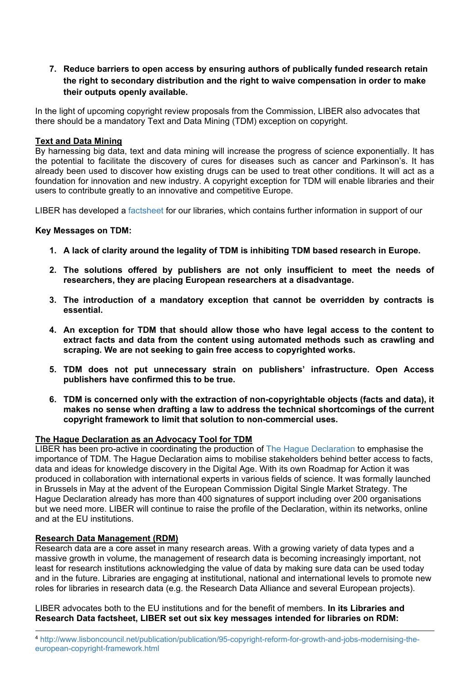## **7. Reduce barriers to open access by ensuring authors of publically funded research retain the right to secondary distribution and the right to waive compensation in order to make their outputs openly available.**

In the light of upcoming copyright review proposals from the Commission, LIBER also advocates that there should be a mandatory Text and Data Mining (TDM) exception on copyright.

### **Text and Data Mining**

By harnessing big data, text and data mining will increase the progress of science exponentially. It has the potential to facilitate the discovery of cures for diseases such as cancer and Parkinson's. It has already been used to discover how existing drugs can be used to treat other conditions. It will act as a foundation for innovation and new industry. A copyright exception for TDM will enable libraries and their users to contribute greatly to an innovative and competitive Europe.

LIBER has developed a [factsheet](http://libereurope.eu/wp-content/uploads/2014/11/Liber-TDM-Factsheet-v2.pdf) for our libraries, which contains further information in support of our

#### **Key Messages on TDM:**

- **1. A lack of clarity around the legality of TDM is inhibiting TDM based research in Europe.**
- **2. The solutions offered by publishers are not only insufficient to meet the needs of researchers, they are placing European researchers at a disadvantage.**
- **3. The introduction of a mandatory exception that cannot be overridden by contracts is essential.**
- **4. An exception for TDM that should allow those who have legal access to the content to extract facts and data from the content using automated methods such as crawling and scraping. We are not seeking to gain free access to copyrighted works.**
- **5. TDM does not put unnecessary strain on publishers' infrastructure. Open Access publishers have confirmed this to be true.**
- **6. TDM is concerned only with the extraction of non-copyrightable objects (facts and data), it makes no sense when drafting a law to address the technical shortcomings of the current copyright framework to limit that solution to non-commercial uses.**

#### **The Hague Declaration as an Advocacy Tool for TDM**

LIBER has been pro-active in coordinating the production of [The Hague Declaration](http://thehaguedeclaration.com/) to emphasise the importance of TDM. The Hague Declaration aims to mobilise stakeholders behind better access to facts, data and ideas for knowledge discovery in the Digital Age. With its own Roadmap for Action it was produced in collaboration with international experts in various fields of science. It was formally launched in Brussels in May at the advent of the European Commission Digital Single Market Strategy. The Hague Declaration already has more than 400 signatures of support including over 200 organisations but we need more. LIBER will continue to raise the profile of the Declaration, within its networks, online and at the EU institutions.

## **Research Data Management (RDM)**

Research data are a core asset in many research areas. With a growing variety of data types and a massive growth in volume, the management of research data is becoming increasingly important, not least for research institutions acknowledging the value of data by making sure data can be used today and in the future. Libraries are engaging at institutional, national and international levels to promote new roles for libraries in research data (e.g. the Research Data Alliance and several European projects).

LIBER advocates both to the EU institutions and for the benefit of members. **In its Libraries and Research Data factsheet, LIBER set out six key messages intended for libraries on RDM:**

<sup>4</sup> [http://www.lisboncouncil.net/publication/publication/95-copyright-reform-for-growth-and-jobs-modernising-the](http://www.lisboncouncil.net/publication/publication/95-copyright-reform-for-growth-and-jobs-modernising-the-european-copyright-framework.html)[european-copyright-framework.html](http://www.lisboncouncil.net/publication/publication/95-copyright-reform-for-growth-and-jobs-modernising-the-european-copyright-framework.html)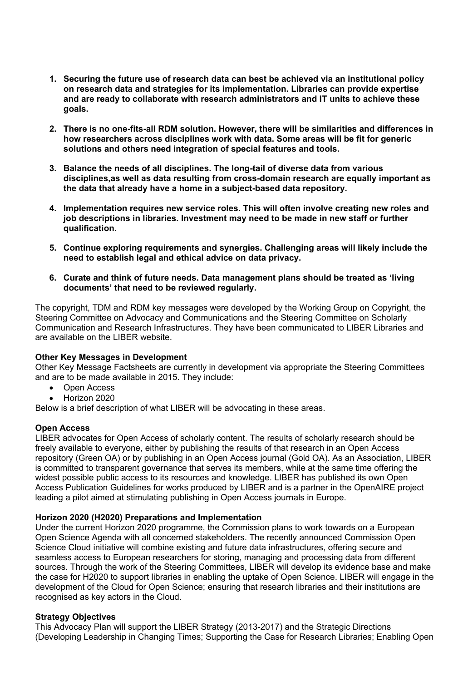- **1. Securing the future use of research data can best be achieved via an institutional policy on research data and strategies for its implementation. Libraries can provide expertise and are ready to collaborate with research administrators and IT units to achieve these goals.**
- **2. There is no one-fits-all RDM solution. However, there will be similarities and differences in how researchers across disciplines work with data. Some areas will be fit for generic solutions and others need integration of special features and tools.**
- **3. Balance the needs of all disciplines. The long-tail of diverse data from various disciplines,as well as data resulting from cross-domain research are equally important as the data that already have a home in a subject-based data repository.**
- **4. Implementation requires new service roles. This will often involve creating new roles and job descriptions in libraries. Investment may need to be made in new staff or further qualification.**
- **5. Continue exploring requirements and synergies. Challenging areas will likely include the need to establish legal and ethical advice on data privacy.**
- **6. Curate and think of future needs. Data management plans should be treated as 'living documents' that need to be reviewed regularly.**

The copyright, TDM and RDM key messages were developed by the Working Group on Copyright, the Steering Committee on Advocacy and Communications and the Steering Committee on Scholarly Communication and Research Infrastructures. They have been communicated to LIBER Libraries and are available on the LIBER website.

## **Other Key Messages in Development**

Other Key Message Factsheets are currently in development via appropriate the Steering Committees and are to be made available in 2015. They include:

- Open Access
- Horizon 2020

Below is a brief description of what LIBER will be advocating in these areas.

## **Open Access**

LIBER advocates for Open Access of scholarly content. The results of scholarly research should be freely available to everyone, either by publishing the results of that research in an Open Access repository (Green OA) or by publishing in an Open Access journal (Gold OA). As an Association, LIBER is committed to transparent governance that serves its members, while at the same time offering the widest possible public access to its resources and knowledge. LIBER has published its own [Open](http://libereurope.eu/libers-open-access-publication-guidelines/)  [Access Publication Guidelines](http://libereurope.eu/libers-open-access-publication-guidelines/) for works produced by LIBER and is a partner in the OpenAIRE project leading a pilot aimed at stimulating publishing in Open Access journals in Europe.

## **Horizon 2020 (H2020) Preparations and Implementation**

Under the current Horizon 2020 programme, the Commission plans to work towards on a European Open Science Agenda with all concerned stakeholders. The recently announced Commission Open Science Cloud initiative will combine existing and future data infrastructures, offering secure and seamless access to European researchers for storing, managing and processing data from different sources. Through the work of the Steering Committees, LIBER will develop its evidence base and make the case for H2020 to support libraries in enabling the uptake of Open Science. LIBER will engage in the development of the Cloud for Open Science; ensuring that research libraries and their institutions are recognised as key actors in the Cloud.

## **Strategy Objectives**

This Advocacy Plan will support the LIBER Strategy (2013-2017) and the Strategic Directions (Developing Leadership in Changing Times; Supporting the Case for Research Libraries; Enabling Open